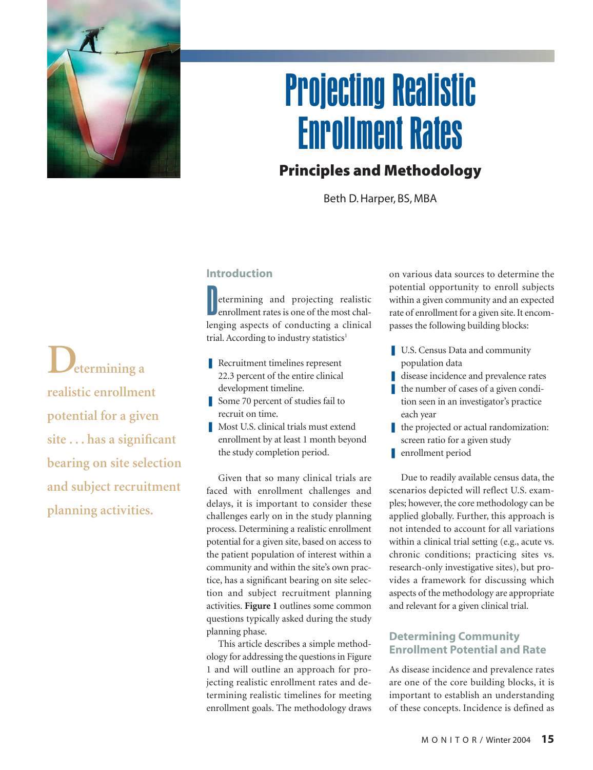

# Projecting Realistic Enrollment Rates

# **Principles and Methodology**

Beth D. Harper, BS, MBA

**Determining a realistic enrollment potential for a given site . . . has a significant bearing on site selection and subject recruitment planning activities.**

# **Introduction**

D etermining and projecting realistic enrollment rates is one of the most challenging aspects of conducting a clinical trial. According to industry statistics<sup>1</sup>

- Recruitment timelines represent 22.3 percent of the entire clinical development timeline.
- Some 70 percent of studies fail to recruit on time.
- Most U.S. clinical trials must extend enrollment by at least 1 month beyond the study completion period.

Given that so many clinical trials are faced with enrollment challenges and delays, it is important to consider these challenges early on in the study planning process. Determining a realistic enrollment potential for a given site, based on access to the patient population of interest within a community and within the site's own practice, has a significant bearing on site selection and subject recruitment planning activities. **Figure 1** outlines some common questions typically asked during the study planning phase.

This article describes a simple methodology for addressing the questions in Figure 1 and will outline an approach for projecting realistic enrollment rates and determining realistic timelines for meeting enrollment goals. The methodology draws

on various data sources to determine the potential opportunity to enroll subjects within a given community and an expected rate of enrollment for a given site. It encompasses the following building blocks:

- U.S. Census Data and community population data
- disease incidence and prevalence rates
- the number of cases of a given condition seen in an investigator's practice each year
- the projected or actual randomization: screen ratio for a given study
- **n** enrollment period

Due to readily available census data, the scenarios depicted will reflect U.S. examples; however, the core methodology can be applied globally. Further, this approach is not intended to account for all variations within a clinical trial setting (e.g., acute vs. chronic conditions; practicing sites vs. research-only investigative sites), but provides a framework for discussing which aspects of the methodology are appropriate and relevant for a given clinical trial.

## **Determining Community Enrollment Potential and Rate**

As disease incidence and prevalence rates are one of the core building blocks, it is important to establish an understanding of these concepts. Incidence is defined as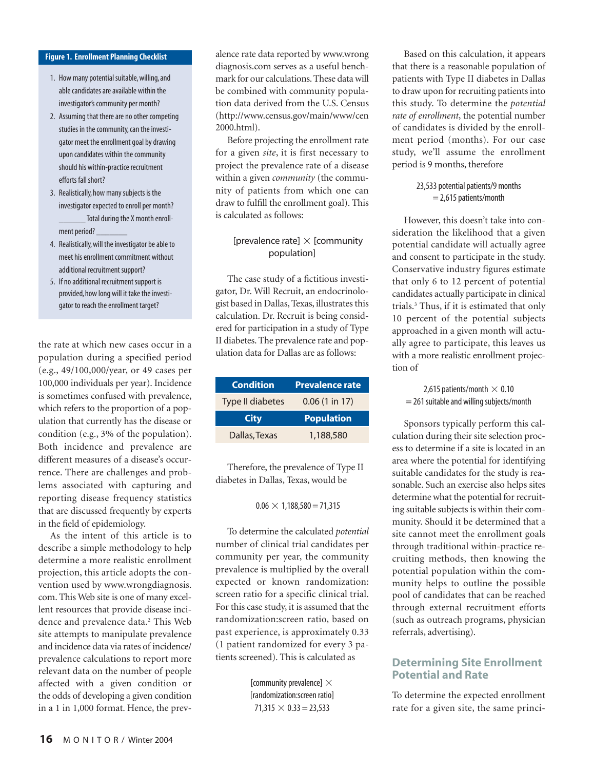#### **Figure 1. Enrollment Planning Checklist**

- 1. How many potential suitable, willing, and able candidates are available within the investigator's community per month?
- 2. Assuming that there are no other competing studies in the community, can the investigator meet the enrollment goal by drawing upon candidates within the community should his within-practice recruitment efforts fall short?
- 3. Realistically, how many subjects is the investigator expected to enroll per month? Total during the X month enrollment period?
- 4. Realistically, will the investigator be able to meet his enrollment commitment without additional recruitment support?
- 5. If no additional recruitment support is provided, how long will it take the investigator to reach the enrollment target?

the rate at which new cases occur in a population during a specified period (e.g., 49/100,000/year, or 49 cases per 100,000 individuals per year). Incidence is sometimes confused with prevalence, which refers to the proportion of a population that currently has the disease or condition (e.g., 3% of the population). Both incidence and prevalence are different measures of a disease's occurrence. There are challenges and problems associated with capturing and reporting disease frequency statistics that are discussed frequently by experts in the field of epidemiology.

As the intent of this article is to describe a simple methodology to help determine a more realistic enrollment projection, this article adopts the convention used by www.wrongdiagnosis. com. This Web site is one of many excellent resources that provide disease incidence and prevalence data.<sup>2</sup> This Web site attempts to manipulate prevalence and incidence data via rates of incidence/ prevalence calculations to report more relevant data on the number of people affected with a given condition or the odds of developing a given condition in a 1 in 1,000 format. Hence, the prevalence rate data reported by www.wrong diagnosis.com serves as a useful benchmark for our calculations. These data will be combined with community population data derived from the U.S. Census (http://www.census.gov/main/www/cen 2000.html).

Before projecting the enrollment rate for a given *site*, it is first necessary to project the prevalence rate of a disease within a given *community* (the community of patients from which one can draw to fulfill the enrollment goal). This is calculated as follows:

#### [prevalence rate]  $\times$  [community population]

The case study of a fictitious investigator, Dr. Will Recruit, an endocrinologist based in Dallas, Texas, illustrates this calculation. Dr. Recruit is being considered for participation in a study of Type II diabetes. The prevalence rate and population data for Dallas are as follows:

| <b>Condition</b>        | <b>Prevalence rate</b>   |
|-------------------------|--------------------------|
| <b>Type II diabetes</b> | $0.06(1 \text{ in } 17)$ |
|                         |                          |
| <b>City</b>             | <b>Population</b>        |

Therefore, the prevalence of Type II diabetes in Dallas, Texas, would be

#### $0.06 \times 1,188,580 = 71,315$

To determine the calculated *potential* number of clinical trial candidates per community per year, the community prevalence is multiplied by the overall expected or known randomization: screen ratio for a specific clinical trial. For this case study, it is assumed that the randomization:screen ratio, based on past experience, is approximately 0.33 (1 patient randomized for every 3 patients screened). This is calculated as

> [community prevalence]  $\times$ [randomization:screen ratio]  $71,315 \times 0.33 = 23,533$

Based on this calculation, it appears that there is a reasonable population of patients with Type II diabetes in Dallas to draw upon for recruiting patients into this study. To determine the *potential rate of enrollment*, the potential number of candidates is divided by the enrollment period (months). For our case study, we'll assume the enrollment period is 9 months, therefore

#### 23,533 potential patients/9 months = 2,615 patients/month

However, this doesn't take into consideration the likelihood that a given potential candidate will actually agree and consent to participate in the study. Conservative industry figures estimate that only 6 to 12 percent of potential candidates actually participate in clinical trials.3 Thus, if it is estimated that only 10 percent of the potential subjects approached in a given month will actually agree to participate, this leaves us with a more realistic enrollment projection of

2,615 patients/month  $\times$  0.10  $= 261$  suitable and willing subjects/month

Sponsors typically perform this calculation during their site selection process to determine if a site is located in an area where the potential for identifying suitable candidates for the study is reasonable. Such an exercise also helps sites determine what the potential for recruiting suitable subjects is within their community. Should it be determined that a site cannot meet the enrollment goals through traditional within-practice recruiting methods, then knowing the potential population within the community helps to outline the possible pool of candidates that can be reached through external recruitment efforts (such as outreach programs, physician referrals, advertising).

### **Determining Site Enrollment Potential and Rate**

To determine the expected enrollment rate for a given site, the same princi-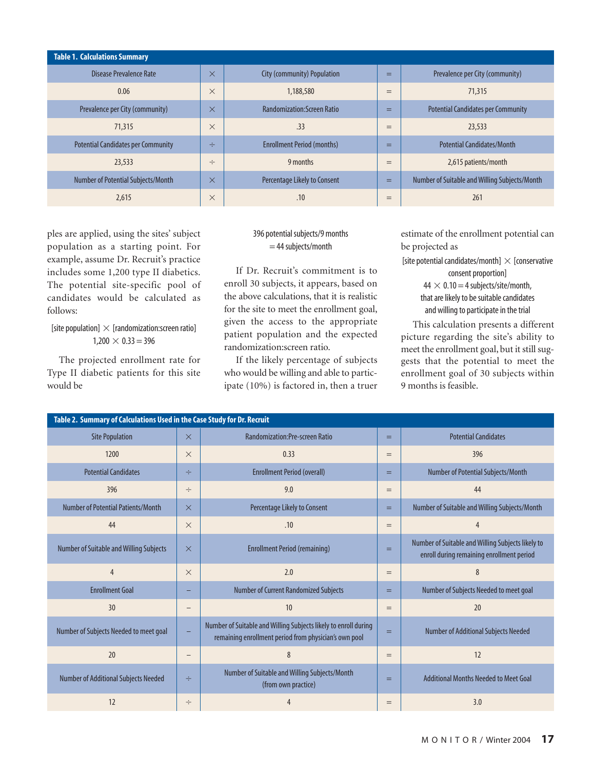| <b>Table 1. Calculations Summary</b>      |          |                                    |     |                                               |  |
|-------------------------------------------|----------|------------------------------------|-----|-----------------------------------------------|--|
| Disease Prevalence Rate                   | $\times$ | City (community) Population        | $=$ | Prevalence per City (community)               |  |
| 0.06                                      | $\times$ | 1,188,580                          | $=$ | 71,315                                        |  |
| Prevalence per City (community)           | $\times$ | <b>Randomization: Screen Ratio</b> | $=$ | <b>Potential Candidates per Community</b>     |  |
| 71,315                                    | $\times$ | .33                                | $=$ | 23,533                                        |  |
| <b>Potential Candidates per Community</b> | ÷        | <b>Enrollment Period (months)</b>  | $=$ | <b>Potential Candidates/Month</b>             |  |
| 23,533                                    | $\div$   | 9 months                           | $=$ | 2,615 patients/month                          |  |
| Number of Potential Subjects/Month        | $\times$ | Percentage Likely to Consent       | $=$ | Number of Suitable and Willing Subjects/Month |  |
| 2,615                                     | $\times$ | .10                                | $=$ | 261                                           |  |

ples are applied, using the sites' subject population as a starting point. For example, assume Dr. Recruit's practice includes some 1,200 type II diabetics. The potential site-specific pool of candidates would be calculated as follows:

[site population]  $\times$  [randomization:screen ratio]  $1,200 \times 0.33 = 396$ 

The projected enrollment rate for Type II diabetic patients for this site would be

#### 396 potential subjects/9 months = 44 subjects/month

If Dr. Recruit's commitment is to enroll 30 subjects, it appears, based on the above calculations, that it is realistic for the site to meet the enrollment goal, given the access to the appropriate patient population and the expected randomization:screen ratio.

If the likely percentage of subjects who would be willing and able to participate (10%) is factored in, then a truer estimate of the enrollment potential can be projected as

[site potential candidates/month]  $\times$  [conservative consent proportion]  $44 \times 0.10 = 4$  subjects/site/month,

that are likely to be suitable candidates and willing to participate in the trial

This calculation presents a different picture regarding the site's ability to meet the enrollment goal, but it still suggests that the potential to meet the enrollment goal of 30 subjects within 9 months is feasible.

| Table 2. Summary of Calculations Used in the Case Study for Dr. Recruit |          |                                                                                                                          |     |                                                                                                |  |  |
|-------------------------------------------------------------------------|----------|--------------------------------------------------------------------------------------------------------------------------|-----|------------------------------------------------------------------------------------------------|--|--|
| <b>Site Population</b>                                                  | $\times$ | <b>Randomization:Pre-screen Ratio</b>                                                                                    | $=$ | <b>Potential Candidates</b>                                                                    |  |  |
| 1200                                                                    | $\times$ | 0.33                                                                                                                     | $=$ | 396                                                                                            |  |  |
| <b>Potential Candidates</b>                                             | ÷        | <b>Enrollment Period (overall)</b>                                                                                       | $=$ | Number of Potential Subjects/Month                                                             |  |  |
| 396                                                                     | $\div$   | 9.0                                                                                                                      | $=$ | 44                                                                                             |  |  |
| Number of Potential Patients/Month                                      | $\times$ | Percentage Likely to Consent                                                                                             | $=$ | Number of Suitable and Willing Subjects/Month                                                  |  |  |
| 44                                                                      | $\times$ | .10                                                                                                                      | $=$ | $\overline{4}$                                                                                 |  |  |
| Number of Suitable and Willing Subjects                                 | $\times$ | <b>Enrollment Period (remaining)</b>                                                                                     | $=$ | Number of Suitable and Willing Subjects likely to<br>enroll during remaining enrollment period |  |  |
| $\overline{4}$                                                          | $\times$ | 2.0                                                                                                                      | $=$ | 8                                                                                              |  |  |
| <b>Enrollment Goal</b>                                                  |          | <b>Number of Current Randomized Subjects</b>                                                                             | $=$ | Number of Subjects Needed to meet goal                                                         |  |  |
| 30                                                                      |          | 10                                                                                                                       | $=$ | 20                                                                                             |  |  |
| Number of Subjects Needed to meet goal                                  |          | Number of Suitable and Willing Subjects likely to enroll during<br>remaining enrollment period from physician's own pool | $=$ | <b>Number of Additional Subjects Needed</b>                                                    |  |  |
| 20                                                                      |          | 8                                                                                                                        | $=$ | 12                                                                                             |  |  |
| <b>Number of Additional Subjects Needed</b>                             | ÷        | Number of Suitable and Willing Subjects/Month<br>(from own practice)                                                     | $=$ | Additional Months Needed to Meet Goal                                                          |  |  |
| 12                                                                      | ÷        | $\overline{4}$                                                                                                           | $=$ | 3.0                                                                                            |  |  |